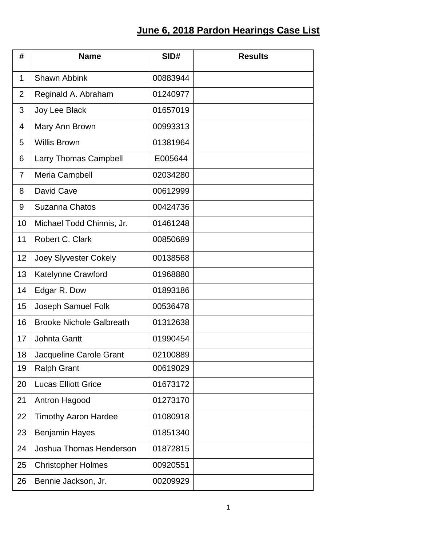## **June 6, 2018 Pardon Hearings Case List**

| #              | <b>Name</b>                     | SID#     | <b>Results</b> |
|----------------|---------------------------------|----------|----------------|
| 1              | <b>Shawn Abbink</b>             | 00883944 |                |
| 2              | Reginald A. Abraham             | 01240977 |                |
| 3              | Joy Lee Black                   | 01657019 |                |
| $\overline{4}$ | Mary Ann Brown                  | 00993313 |                |
| 5              | <b>Willis Brown</b>             | 01381964 |                |
| 6              | <b>Larry Thomas Campbell</b>    | E005644  |                |
| $\overline{7}$ | Meria Campbell                  | 02034280 |                |
| 8              | David Cave                      | 00612999 |                |
| 9              | <b>Suzanna Chatos</b>           | 00424736 |                |
| 10             | Michael Todd Chinnis, Jr.       | 01461248 |                |
| 11             | Robert C. Clark                 | 00850689 |                |
| 12             | <b>Joey Slyvester Cokely</b>    | 00138568 |                |
| 13             | Katelynne Crawford              | 01968880 |                |
| 14             | Edgar R. Dow                    | 01893186 |                |
| 15             | Joseph Samuel Folk              | 00536478 |                |
| 16             | <b>Brooke Nichole Galbreath</b> | 01312638 |                |
| 17             | <b>Johnta Gantt</b>             | 01990454 |                |
| 18             | Jacqueline Carole Grant         | 02100889 |                |
| 19             | <b>Ralph Grant</b>              | 00619029 |                |
| 20             | <b>Lucas Elliott Grice</b>      | 01673172 |                |
| 21             | Antron Hagood                   | 01273170 |                |
| 22             | <b>Timothy Aaron Hardee</b>     | 01080918 |                |
| 23             | <b>Benjamin Hayes</b>           | 01851340 |                |
| 24             | Joshua Thomas Henderson         | 01872815 |                |
| 25             | <b>Christopher Holmes</b>       | 00920551 |                |
| 26             | Bennie Jackson, Jr.             | 00209929 |                |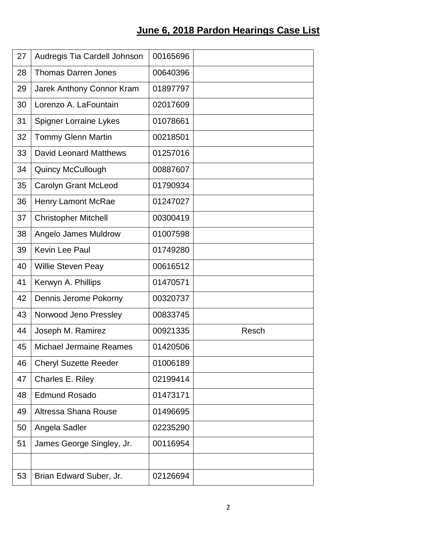## **June 6, 2018 Pardon Hearings Case List**

| 27 | Audregis Tia Cardell Johnson  | 00165696 |       |
|----|-------------------------------|----------|-------|
| 28 | <b>Thomas Darren Jones</b>    | 00640396 |       |
| 29 | Jarek Anthony Connor Kram     | 01897797 |       |
| 30 | Lorenzo A. LaFountain         | 02017609 |       |
| 31 | <b>Spigner Lorraine Lykes</b> | 01078661 |       |
| 32 | <b>Tommy Glenn Martin</b>     | 00218501 |       |
| 33 | <b>David Leonard Matthews</b> | 01257016 |       |
| 34 | <b>Quincy McCullough</b>      | 00887607 |       |
| 35 | <b>Carolyn Grant McLeod</b>   | 01790934 |       |
| 36 | <b>Henry Lamont McRae</b>     | 01247027 |       |
| 37 | <b>Christopher Mitchell</b>   | 00300419 |       |
| 38 | Angelo James Muldrow          | 01007598 |       |
| 39 | Kevin Lee Paul                | 01749280 |       |
| 40 | Willie Steven Peay            | 00616512 |       |
| 41 | Kerwyn A. Phillips            | 01470571 |       |
| 42 | Dennis Jerome Pokorny         | 00320737 |       |
| 43 | Norwood Jeno Pressley         | 00833745 |       |
| 44 | Joseph M. Ramirez             | 00921335 | Resch |
| 45 | Michael Jermaine Reames       | 01420506 |       |
| 46 | <b>Cheryl Suzette Reeder</b>  | 01006189 |       |
| 47 | Charles E. Riley              | 02199414 |       |
| 48 | <b>Edmund Rosado</b>          | 01473171 |       |
| 49 | Altressa Shana Rouse          | 01496695 |       |
| 50 | Angela Sadler                 | 02235290 |       |
| 51 | James George Singley, Jr.     | 00116954 |       |
|    |                               |          |       |
| 53 | Brian Edward Suber, Jr.       | 02126694 |       |